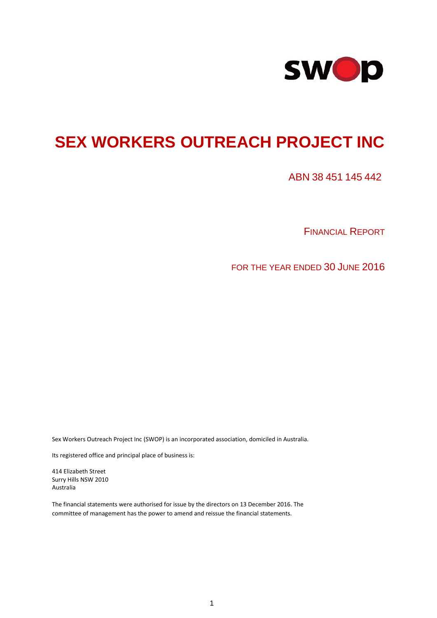

ABN 38 [451](http://abr.business.gov.au/SearchByAbn.aspx?abn=38451145442) 145 442

FINANCIAL REPORT

FOR THE YEAR ENDED 30 JUNE 2016

Sex Workers Outreach Project Inc (SWOP) is an incorporated association, domiciled in Australia.

Its registered office and principal place of business is:

414 Elizabeth Street Surry Hills NSW 2010 Australia

The financial statements were authorised for issue by the directors on 13 December 2016. The committee of management has the power to amend and reissue the financial statements.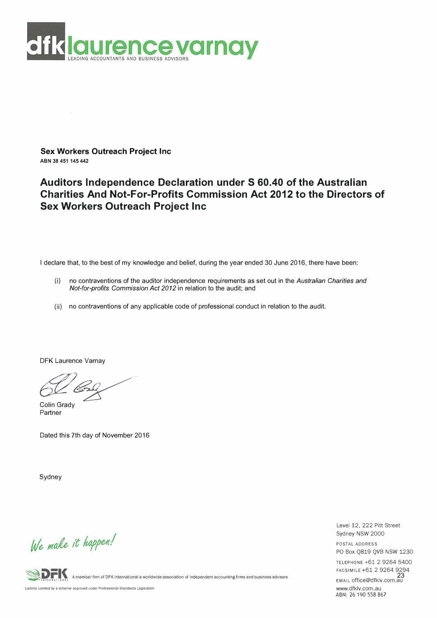

**Sex Workers Outreach Project Inc ABN 38 451 145 442** 

## **Auditors Independence Declaration under S 60.40 of the Australian Charities And Not-For-Profits Commission Act 2012 to the Directors of Sex Workers Outreach Project Inc**

I declare that, to the best of my knowledge and belief, during the year ended 30 June 2016, there have been:

- (i) no contraventions of the auditor independence requirements as set out in the *Australian Charities and Not-for-profits Commission Act 2012* in relation to the audit; and
- (ii) no contraventions of any applicable code of professional conduct in relation to the audit.

DFK Laurence Varnay

**COM Gray** 

Colin Grady Partner

Dated this 7th day of November 2016

Sydney

We make it happen!



A member firm of DFK International a worldwide association of independent accounting firms and business advisers

Liabilfty Limited by a scheme approved under Professional Standards Legislation

Level 12, 222 Pitt Street Sydney NSW 2000 POSTAL ADDRESS PO Box Q819 QVB NSW 1230 TELEPHONE +61 2 9264 5400 FACSIMILE +61 2 9264 9294 EMAIL office@dfklv.com.au www.dfklv.com.au ABN: 26 190 558 867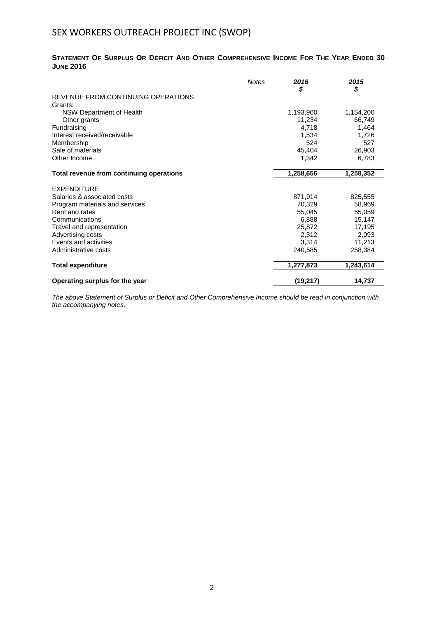#### **STATEMENT OF SURPLUS OR DEFICIT AND OTHER COMPREHENSIVE INCOME FOR THE YEAR ENDED 30 JUNE 2016**

|                                          | <b>Notes</b> | 2016<br>\$ | 2015<br>\$ |
|------------------------------------------|--------------|------------|------------|
| REVENUE FROM CONTINUING OPERATIONS       |              |            |            |
| Grants:                                  |              |            |            |
| NSW Department of Health                 |              | 1,193,900  | 1,154,200  |
| Other grants                             |              | 11,234     | 66,749     |
| Fundraising                              |              | 4,718      | 1,464      |
| Interest received/receivable             |              | 1,534      | 1,726      |
| Membership                               |              | 524        | 527        |
| Sale of materials                        |              | 45,404     | 26,903     |
| Other Income                             |              | 1,342      | 6,783      |
| Total revenue from continuing operations |              | 1,258,656  | 1,258,352  |
| <b>EXPENDITURE</b>                       |              |            |            |
| Salaries & associated costs              |              | 871,914    | 825,555    |
| Program materials and services           |              | 70,329     | 58,969     |
| Rent and rates                           |              | 55,045     | 55,059     |
| Communications                           |              | 6,888      | 15,147     |
| Travel and representation                |              | 25,872     | 17,195     |
| Advertising costs                        |              | 2,312      | 2,093      |
| Events and activities                    |              | 3,314      | 11,213     |
| Administrative costs                     |              | 240,585    | 258,384    |
| <b>Total expenditure</b>                 |              | 1,277,873  | 1,243,614  |
| Operating surplus for the year           |              | (19, 217)  | 14,737     |

*The above Statement of Surplus or Deficit and Other Comprehensive Income should be read in conjunction with the accompanying notes.*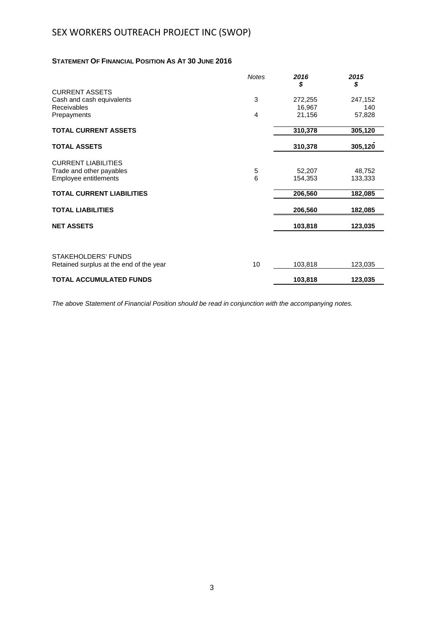## **STATEMENT OF FINANCIAL POSITION AS AT 30 JUNE 2016**

|                                         | <b>Notes</b> | 2016<br>\$ | 2015<br>\$ |
|-----------------------------------------|--------------|------------|------------|
| <b>CURRENT ASSETS</b>                   |              |            |            |
| Cash and cash equivalents               | 3            | 272,255    | 247,152    |
| Receivables                             |              | 16,967     | 140        |
| Prepayments                             | 4            | 21,156     | 57,828     |
| <b>TOTAL CURRENT ASSETS</b>             |              | 310,378    | 305,120    |
| <b>TOTAL ASSETS</b>                     |              | 310,378    | 305,120    |
| <b>CURRENT LIABILITIES</b>              |              |            |            |
| Trade and other payables                | 5            | 52,207     | 48,752     |
| Employee entitlements                   | 6            | 154,353    | 133,333    |
| <b>TOTAL CURRENT LIABILITIES</b>        |              | 206,560    | 182,085    |
| <b>TOTAL LIABILITIES</b>                |              | 206,560    | 182,085    |
| <b>NET ASSETS</b>                       |              | 103,818    | 123,035    |
|                                         |              |            |            |
| <b>STAKEHOLDERS' FUNDS</b>              |              |            |            |
| Retained surplus at the end of the year | 10           | 103,818    | 123,035    |
| <b>TOTAL ACCUMULATED FUNDS</b>          |              | 103,818    | 123,035    |

*The above Statement of Financial Position should be read in conjunction with the accompanying notes.*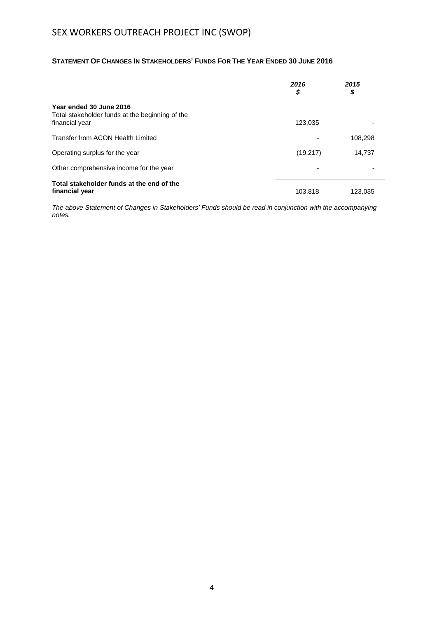## **STATEMENT OF CHANGES IN STAKEHOLDERS' FUNDS FOR THE YEAR ENDED 30 JUNE 2016**

|                                                                                              | 2016<br>\$ | 2015<br>\$ |
|----------------------------------------------------------------------------------------------|------------|------------|
| Year ended 30 June 2016<br>Total stakeholder funds at the beginning of the<br>financial year | 123,035    |            |
| Transfer from ACON Health Limited                                                            |            | 108,298    |
| Operating surplus for the year                                                               | (19,217)   | 14,737     |
| Other comprehensive income for the year                                                      |            |            |
| Total stakeholder funds at the end of the<br>financial year                                  | 103.818    | 123.035    |

*The above Statement of Changes in Stakeholders' Funds should be read in conjunction with the accompanying notes.*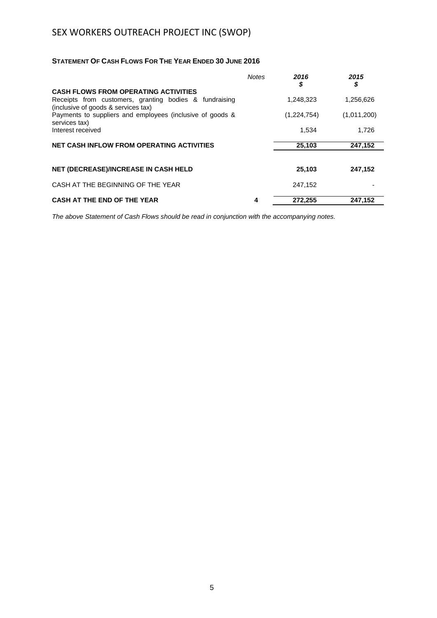## **STATEMENT OF CASH FLOWS FOR THE YEAR ENDED 30 JUNE 2016**

|                                                                                               | <b>Notes</b> | 2016<br>\$  | 2015<br>\$  |
|-----------------------------------------------------------------------------------------------|--------------|-------------|-------------|
| <b>CASH FLOWS FROM OPERATING ACTIVITIES</b>                                                   |              |             |             |
| Receipts from customers, granting bodies & fundraising<br>(inclusive of goods & services tax) |              | 1,248,323   | 1,256,626   |
| Payments to suppliers and employees (inclusive of goods &<br>services tax)                    |              | (1,224,754) | (1,011,200) |
| Interest received                                                                             |              | 1.534       | 1.726       |
| <b>NET CASH INFLOW FROM OPERATING ACTIVITIES</b>                                              |              | 25,103      | 247,152     |
|                                                                                               |              |             |             |
| <b>NET (DECREASE)/INCREASE IN CASH HELD</b>                                                   |              | 25,103      | 247,152     |
| CASH AT THE BEGINNING OF THE YEAR                                                             |              | 247.152     |             |
| <b>CASH AT THE END OF THE YEAR</b>                                                            | 4            | 272,255     | 247,152     |

*The above Statement of Cash Flows should be read in conjunction with the accompanying notes.*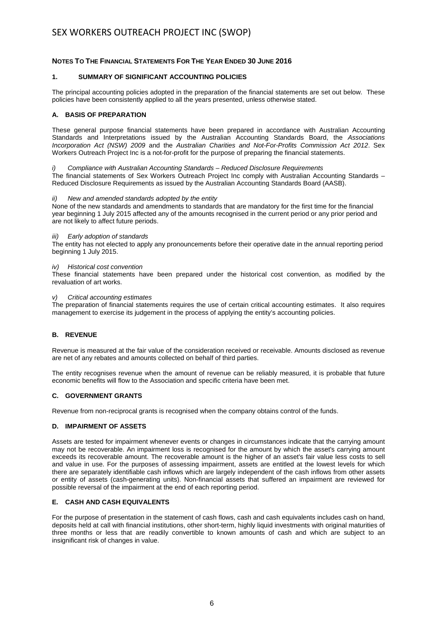#### **NOTES TO THE FINANCIAL STATEMENTS FOR THE YEAR ENDED 30 JUNE 2016**

#### **1. SUMMARY OF SIGNIFICANT ACCOUNTING POLICIES**

The principal accounting policies adopted in the preparation of the financial statements are set out below. These policies have been consistently applied to all the years presented, unless otherwise stated.

#### **A. BASIS OF PREPARATION**

These general purpose financial statements have been prepared in accordance with Australian Accounting Standards and Interpretations issued by the Australian Accounting Standards Board, the *Associations Incorporation Act (NSW) 2009* and the *Australian Charities and Not-For-Profits Commission Act 2012*. Sex Workers Outreach Project Inc is a not-for-profit for the purpose of preparing the financial statements.

*i) Compliance with Australian Accounting Standards – Reduced Disclosure Requirements*

The financial statements of Sex Workers Outreach Project Inc comply with Australian Accounting Standards – Reduced Disclosure Requirements as issued by the Australian Accounting Standards Board (AASB).

#### *ii) New and amended standards adopted by the entity*

None of the new standards and amendments to standards that are mandatory for the first time for the financial year beginning 1 July 2015 affected any of the amounts recognised in the current period or any prior period and are not likely to affect future periods.

#### *iii) Early adoption of standards*

The entity has not elected to apply any pronouncements before their operative date in the annual reporting period beginning 1 July 2015.

#### *iv) Historical cost convention*

These financial statements have been prepared under the historical cost convention, as modified by the revaluation of art works.

#### *v) Critical accounting estimates*

The preparation of financial statements requires the use of certain critical accounting estimates. It also requires management to exercise its judgement in the process of applying the entity's accounting policies.

#### **B. REVENUE**

Revenue is measured at the fair value of the consideration received or receivable. Amounts disclosed as revenue are net of any rebates and amounts collected on behalf of third parties.

The entity recognises revenue when the amount of revenue can be reliably measured, it is probable that future economic benefits will flow to the Association and specific criteria have been met.

#### **C. GOVERNMENT GRANTS**

Revenue from non-reciprocal grants is recognised when the company obtains control of the funds.

#### **D. IMPAIRMENT OF ASSETS**

Assets are tested for impairment whenever events or changes in circumstances indicate that the carrying amount may not be recoverable. An impairment loss is recognised for the amount by which the asset's carrying amount exceeds its recoverable amount. The recoverable amount is the higher of an asset's fair value less costs to sell and value in use. For the purposes of assessing impairment, assets are entitled at the lowest levels for which there are separately identifiable cash inflows which are largely independent of the cash inflows from other assets or entity of assets (cash-generating units). Non-financial assets that suffered an impairment are reviewed for possible reversal of the impairment at the end of each reporting period.

#### **E. CASH AND CASH EQUIVALENTS**

For the purpose of presentation in the statement of cash flows, cash and cash equivalents includes cash on hand, deposits held at call with financial institutions, other short-term, highly liquid investments with original maturities of three months or less that are readily convertible to known amounts of cash and which are subject to an insignificant risk of changes in value.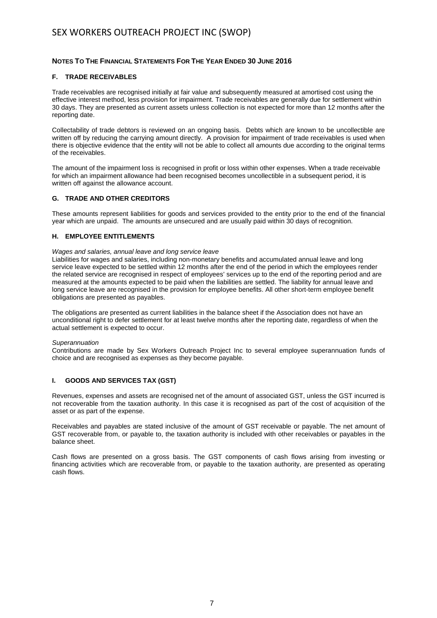#### **NOTES TO THE FINANCIAL STATEMENTS FOR THE YEAR ENDED 30 JUNE 2016**

#### **F. TRADE RECEIVABLES**

Trade receivables are recognised initially at fair value and subsequently measured at amortised cost using the effective interest method, less provision for impairment. Trade receivables are generally due for settlement within 30 days. They are presented as current assets unless collection is not expected for more than 12 months after the reporting date.

Collectability of trade debtors is reviewed on an ongoing basis. Debts which are known to be uncollectible are written off by reducing the carrying amount directly. A provision for impairment of trade receivables is used when there is objective evidence that the entity will not be able to collect all amounts due according to the original terms of the receivables.

The amount of the impairment loss is recognised in profit or loss within other expenses. When a trade receivable for which an impairment allowance had been recognised becomes uncollectible in a subsequent period, it is written off against the allowance account.

#### **G. TRADE AND OTHER CREDITORS**

These amounts represent liabilities for goods and services provided to the entity prior to the end of the financial year which are unpaid. The amounts are unsecured and are usually paid within 30 days of recognition.

#### **H. EMPLOYEE ENTITLEMENTS**

#### *Wages and salaries, annual leave and long service leave*

Liabilities for wages and salaries, including non-monetary benefits and accumulated annual leave and long service leave expected to be settled within 12 months after the end of the period in which the employees render the related service are recognised in respect of employees' services up to the end of the reporting period and are measured at the amounts expected to be paid when the liabilities are settled. The liability for annual leave and long service leave are recognised in the provision for employee benefits. All other short-term employee benefit obligations are presented as payables.

The obligations are presented as current liabilities in the balance sheet if the Association does not have an unconditional right to defer settlement for at least twelve months after the reporting date, regardless of when the actual settlement is expected to occur.

#### *Superannuation*

Contributions are made by Sex Workers Outreach Project Inc to several employee superannuation funds of choice and are recognised as expenses as they become payable.

#### **I. GOODS AND SERVICES TAX (GST)**

Revenues, expenses and assets are recognised net of the amount of associated GST, unless the GST incurred is not recoverable from the taxation authority. In this case it is recognised as part of the cost of acquisition of the asset or as part of the expense.

Receivables and payables are stated inclusive of the amount of GST receivable or payable. The net amount of GST recoverable from, or payable to, the taxation authority is included with other receivables or payables in the balance sheet.

Cash flows are presented on a gross basis. The GST components of cash flows arising from investing or financing activities which are recoverable from, or payable to the taxation authority, are presented as operating cash flows.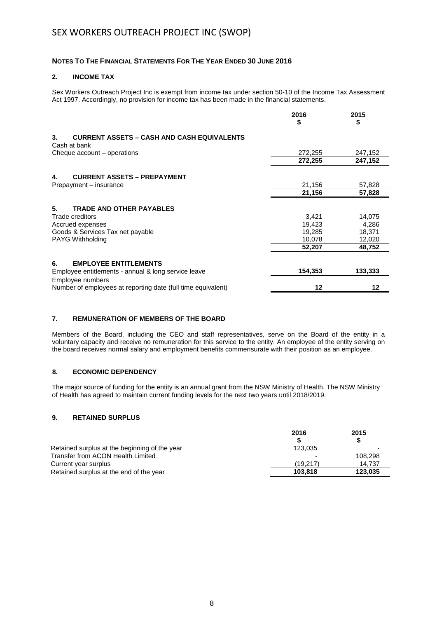### **NOTES TO THE FINANCIAL STATEMENTS FOR THE YEAR ENDED 30 JUNE 2016**

#### **2. INCOME TAX**

Sex Workers Outreach Project Inc is exempt from income tax under section 50-10 of the Income Tax Assessment Act 1997. Accordingly, no provision for income tax has been made in the financial statements.

|                                                                         | 2016<br>\$ | 2015<br>\$ |
|-------------------------------------------------------------------------|------------|------------|
| 3.<br><b>CURRENT ASSETS – CASH AND CASH EQUIVALENTS</b><br>Cash at bank |            |            |
| Cheque account – operations                                             | 272,255    | 247,152    |
|                                                                         | 272,255    | 247,152    |
| <b>CURRENT ASSETS - PREPAYMENT</b><br>4.                                |            |            |
| Prepayment – insurance                                                  | 21,156     | 57,828     |
|                                                                         | 21,156     | 57,828     |
| 5.<br><b>TRADE AND OTHER PAYABLES</b>                                   |            |            |
| Trade creditors                                                         | 3,421      | 14,075     |
| Accrued expenses                                                        | 19.423     | 4,286      |
| Goods & Services Tax net payable                                        | 19,285     | 18,371     |
| <b>PAYG Withholding</b>                                                 | 10,078     | 12,020     |
|                                                                         | 52,207     | 48,752     |
| 6.<br><b>EMPLOYEE ENTITLEMENTS</b>                                      |            |            |
| Employee entitlements - annual & long service leave                     | 154,353    | 133,333    |
| Employee numbers                                                        |            |            |
| Number of employees at reporting date (full time equivalent)            | 12         | 12         |

#### **7. REMUNERATION OF MEMBERS OF THE BOARD**

Members of the Board, including the CEO and staff representatives, serve on the Board of the entity in a voluntary capacity and receive no remuneration for this service to the entity. An employee of the entity serving on the board receives normal salary and employment benefits commensurate with their position as an employee.

#### **8. ECONOMIC DEPENDENCY**

The major source of funding for the entity is an annual grant from the NSW Ministry of Health. The NSW Ministry of Health has agreed to maintain current funding levels for the next two years until 2018/2019.

#### **9. RETAINED SURPLUS**

|                                               | 2016                     | 2015    |
|-----------------------------------------------|--------------------------|---------|
|                                               |                          |         |
| Retained surplus at the beginning of the year | 123.035                  |         |
| Transfer from ACON Health Limited             | $\overline{\phantom{0}}$ | 108.298 |
| Current year surplus                          | (19.217)                 | 14.737  |
| Retained surplus at the end of the year       | 103.818                  | 123.035 |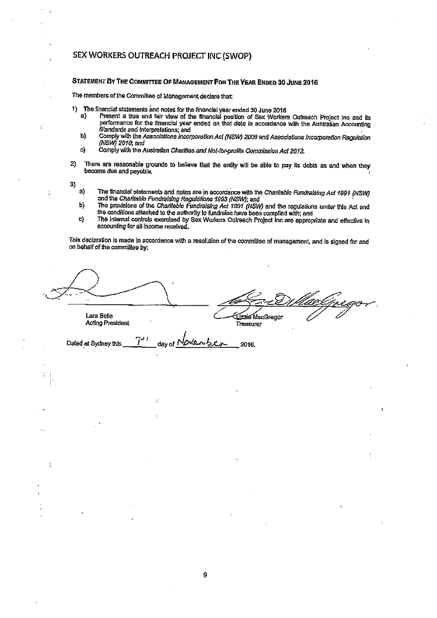#### STATEMENT BY THE COMMITTEE OF MANAGEMENT FOR THE YEAR ENDED 30 JUNE 2016

The members of the Committee of Management declare that

- 1) The financial statements and notes for the financial year ended 30 June 2016
	- Present a true and fair view of the financial position of Sex Workers Outreach Project Inc and its a) performance for the financial year ended on that date in accordance with the Australian Accounting Standards and Interpretations, and
	- Comply with the Associations incorporation Act (NSW) 2009 and Associations Incorporation Regulation b) (NSW) 2010; and
	- c) Comply with the Australian Charities and Not-for-profits Commission Act 2012.
- 2) There are reasonable grounds to believe that the entity will be able to pay its debts as and when they become due and payable.

3)

š

÷

- The financial statements and notes are in accordance with the Charitable Fundralsing Act 1991 (NSW) a) and the Charitable Fundraising Regulations 1993 (NSW); and
- b) The provisions of the Charliable Fundraising Act 1991 (NSW) and the regulations under this Act and the conditions attached to the authority to fundraise have been complied with; and
- The internal controls exercised by Sex Workers Outreach Project Inc are appropriate and effective in C) accounting for all income received.

This declaration is made in accordance with a resolution of the committee of management, and is signed for and on behalf of the committee by:

Lara Belle **Acting President** 

izzio MacGregor Treasurer

bven Dated at Sydney this 2016. dav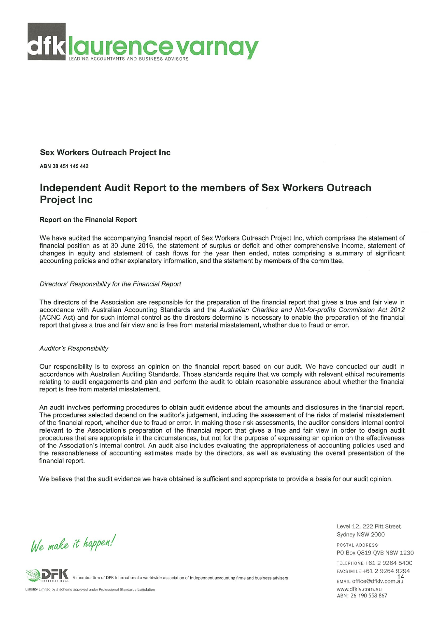

#### **Sex Workers Outreach Project Inc**

ABN 38 451 145 442

## Independent Audit Report to the members of Sex Workers Outreach **Project Inc**

#### **Report on the Financial Report**

We have audited the accompanying financial report of Sex Workers Outreach Project Inc, which comprises the statement of financial position as at 30 June 2016, the statement of surplus or deficit and other comprehensive income, statement of changes in equity and statement of cash flows for the year then ended, notes comprising a summary of significant accounting policies and other explanatory information, and the statement by members of the committee.

#### Directors' Responsibility for the Financial Report

The directors of the Association are responsible for the preparation of the financial report that gives a true and fair view in accordance with Australian Accounting Standards and the Australian Charities and Not-for-profits Commission Act 2012 (ACNC Act) and for such internal control as the directors determine is necessary to enable the preparation of the financial report that gives a true and fair view and is free from material misstatement, whether due to fraud or error.

#### **Auditor's Responsibility**

Our responsibility is to express an opinion on the financial report based on our audit. We have conducted our audit in accordance with Australian Auditing Standards. Those standards require that we comply with relevant ethical requirements relating to audit engagements and plan and perform the audit to obtain reasonable assurance about whether the financial report is free from material misstatement.

An audit involves performing procedures to obtain audit evidence about the amounts and disclosures in the financial report. The procedures selected depend on the auditor's judgement, including the assessment of the risks of material misstatement of the financial report, whether due to fraud or error. In making those risk assessments, the auditor considers internal control relevant to the Association's preparation of the financial report that gives a true and fair view in order to design audit procedures that are appropriate in the circumstances, but not for the purpose of expressing an opinion on the effectiveness of the Association's internal control. An audit also includes evaluating the appropriateness of accounting policies used and the reasonableness of accounting estimates made by the directors, as well as evaluating the overall presentation of the financial report.

We believe that the audit evidence we have obtained is sufficient and appropriate to provide a basis for our audit opinion.

We make it happen!

A member firm of DFK International a worldwide association of independent accounting firms and business advisers

Liability Limited by a scheme approved under Professional Standards Legislation

Level 12, 222 Pitt Street Sydney NSW 2000 POSTAL ADDRESS PO Box Q819 QVB NSW 1230 TELEPHONE +61 2 9264 5400 FACSIMILE +61 2 9264 9294

EMAIL office@dfklv.com.au www.dfklv.com.au ABN: 26 190 558 867